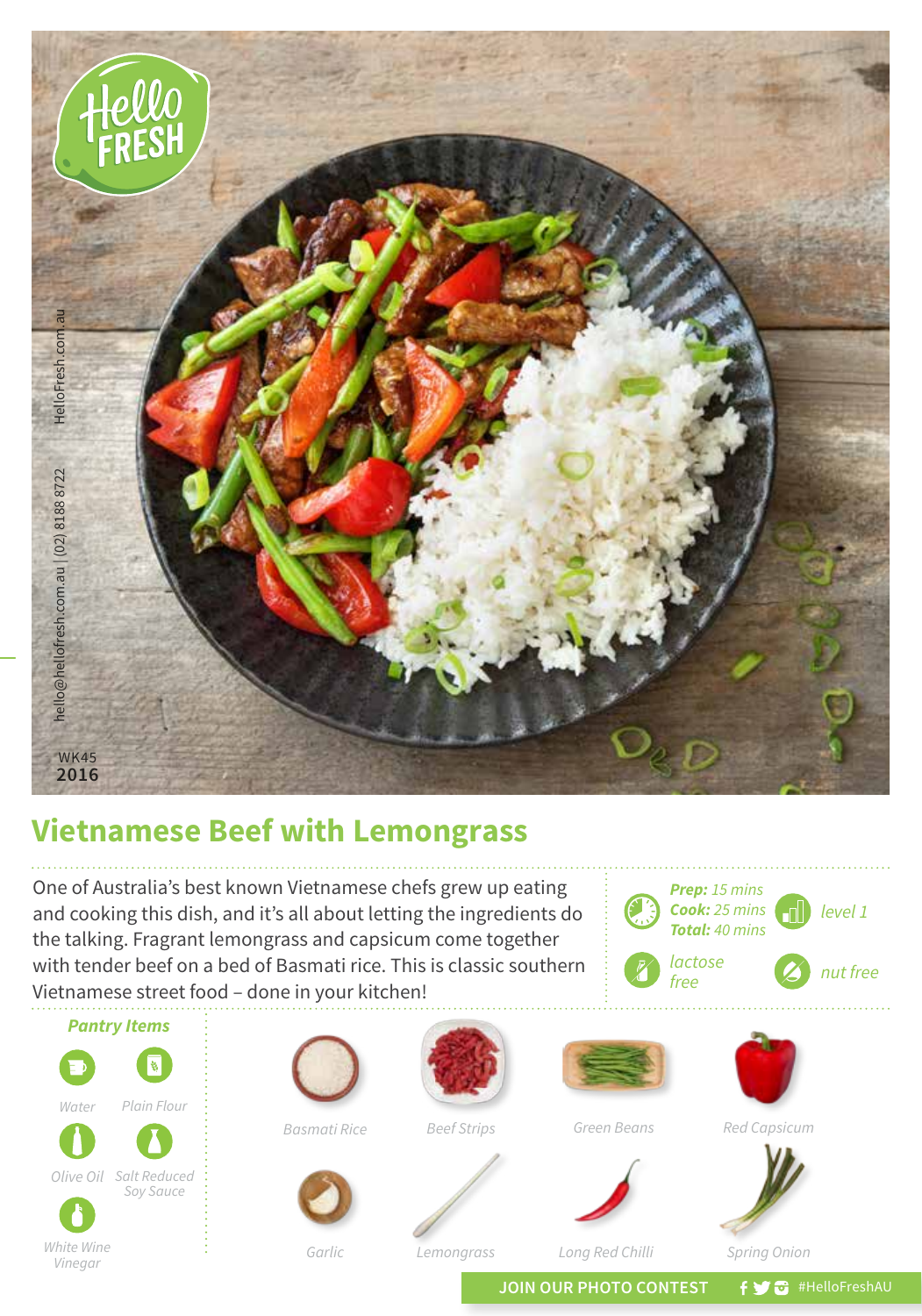

## **Vietnamese Beef with Lemongrass**

One of Australia's best known Vietnamese chefs grew up eating and cooking this dish, and it's all about letting the ingredients do the talking. Fragrant lemongrass and capsicum come together with tender beef on a bed of Basmati rice. This is classic southern Vietnamese street food – done in your kitchen!



*Vinegar*

*Lemongrass*

*Long Red Chilli*

*Spring Onion*

*free <i>s nut free* 

JOIN OUR PHOTO CONTEST **f y**  $\bullet$  #HelloFreshAU

*Prep: 15 mins Cook: 25 mins Total: 40 mins*

*lactose*

*level 1*